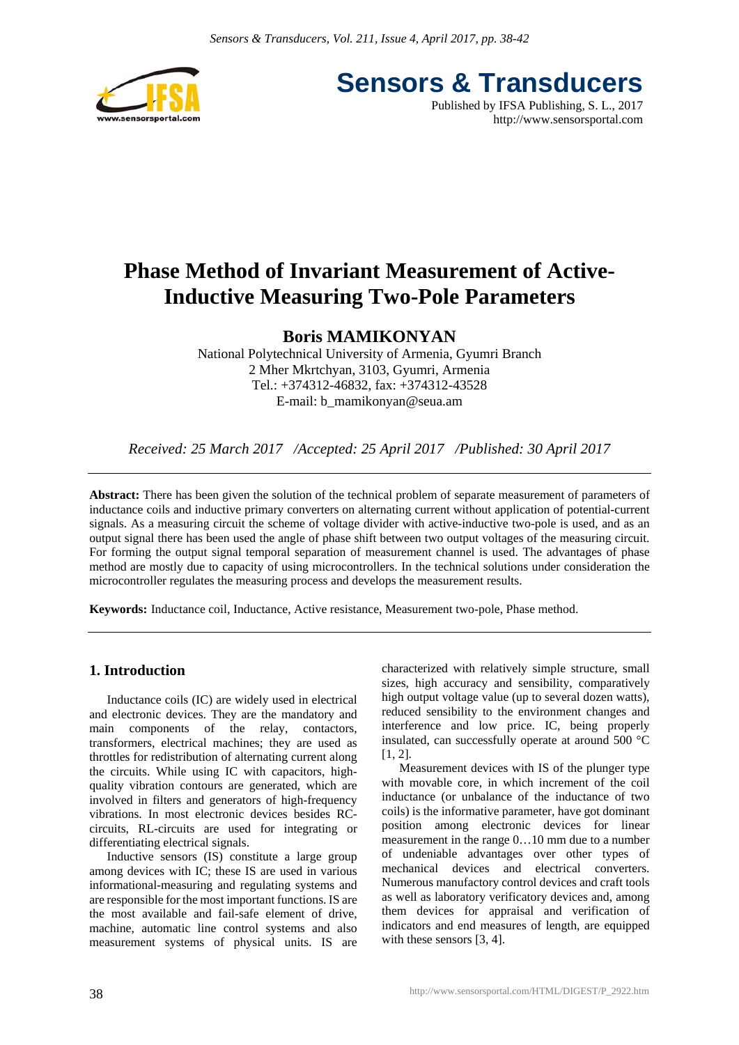

**Sensors & Transducers** Published by IFSA Publishing, S. L., 2017

http://www.sensorsportal.com

## **Phase Method of Invariant Measurement of Active-Inductive Measuring Two-Pole Parameters**

### **Boris MAMIKONYAN**

National Polytechnical University of Armenia, Gyumri Branch 2 Mher Mkrtchyan, 3103, Gyumri, Armenia Tel.: +374312-46832, fax: +374312-43528 E-mail: b\_mamikonyan@seua.am

*Received: 25 March 2017 /Accepted: 25 April 2017 /Published: 30 April 2017*

**Abstract:** There has been given the solution of the technical problem of separate measurement of parameters of inductance coils and inductive primary converters on alternating current without application of potential-current signals. As a measuring circuit the scheme of voltage divider with active-inductive two-pole is used, and as an output signal there has been used the angle of phase shift between two output voltages of the measuring circuit. For forming the output signal temporal separation of measurement channel is used. The advantages of phase method are mostly due to capacity of using microcontrollers. In the technical solutions under consideration the microcontroller regulates the measuring process and develops the measurement results.

**Keywords:** Inductance coil, Inductance, Active resistance, Measurement two-pole, Phase method.

#### **1. Introduction**

Inductance coils (IC) are widely used in electrical and electronic devices. They are the mandatory and main components of the relay, contactors, transformers, electrical machines; they are used as throttles for redistribution of alternating current along the circuits. While using IC with capacitors, highquality vibration contours are generated, which are involved in filters and generators of high-frequency vibrations. In most electronic devices besides RCcircuits, RL-circuits are used for integrating or differentiating electrical signals.

Inductive sensors (IS) constitute a large group among devices with IC; these IS are used in various informational-measuring and regulating systems and are responsible for the most important functions. IS are the most available and fail-safe element of drive, machine, automatic line control systems and also measurement systems of physical units. IS are

characterized with relatively simple structure, small sizes, high accuracy and sensibility, comparatively high output voltage value (up to several dozen watts), reduced sensibility to the environment changes and interference and low price. IC, being properly insulated, can successfully operate at around 500 °C [1, 2].

Measurement devices with IS of the plunger type with movable core, in which increment of the coil inductance (or unbalance of the inductance of two coils) is the informative parameter, have got dominant position among electronic devices for linear measurement in the range 0…10 mm due to a number of undeniable advantages over other types of mechanical devices and electrical converters. Numerous manufactory control devices and craft tools as well as laboratory verificatory devices and, among them devices for appraisal and verification of indicators and end measures of length, are equipped with these sensors [3, 4].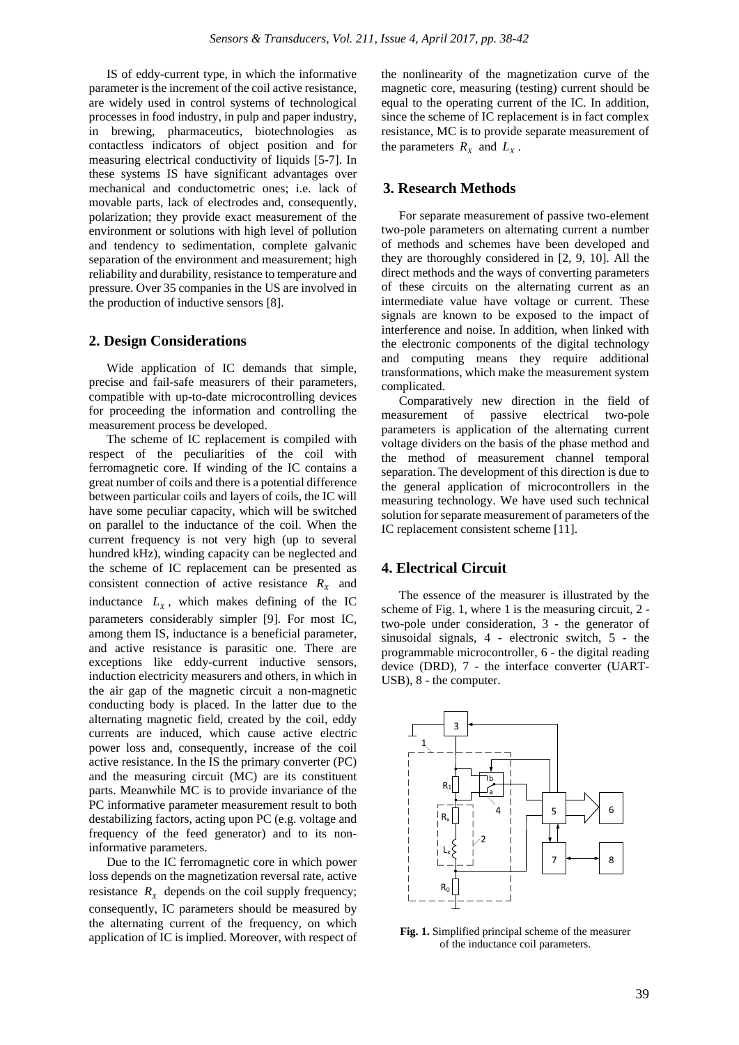IS of eddy-current type, in which the informative parameter is the increment of the coil active resistance, are widely used in control systems of technological processes in food industry, in pulp and paper industry, in brewing, pharmaceutics, biotechnologies as contactless indicators of object position and for measuring electrical conductivity of liquids [5-7]. In these systems IS have significant advantages over mechanical and conductometric ones; i.e. lack of movable parts, lack of electrodes and, consequently, polarization; they provide exact measurement of the environment or solutions with high level of pollution and tendency to sedimentation, complete galvanic separation of the environment and measurement; high reliability and durability, resistance to temperature and pressure. Over 35 companies in the US are involved in the production of inductive sensors [8].

#### **2. Design Considerations**

Wide application of IC demands that simple, precise and fail-safe measurers of their parameters, compatible with up-to-date microcontrolling devices for proceeding the information and controlling the measurement process be developed.

The scheme of IC replacement is compiled with respect of the peculiarities of the coil with ferromagnetic core. If winding of the IC contains a great number of coils and there is a potential difference between particular coils and layers of coils, the IC will have some peculiar capacity, which will be switched on parallel to the inductance of the coil. When the current frequency is not very high (up to several hundred kHz), winding capacity can be neglected and the scheme of IC replacement can be presented as consistent connection of active resistance  $R_x$  and inductance  $L<sub>x</sub>$ , which makes defining of the IC parameters considerably simpler [9]. For most IC, among them IS, inductance is a beneficial parameter, and active resistance is parasitic one. There are exceptions like eddy-current inductive sensors, induction electricity measurers and others, in which in the air gap of the magnetic circuit a non-magnetic conducting body is placed. In the latter due to the alternating magnetic field, created by the coil, eddy currents are induced, which cause active electric power loss and, consequently, increase of the coil active resistance. In the IS the primary converter (PC) and the measuring circuit (MC) are its constituent parts. Meanwhile MC is to provide invariance of the PC informative parameter measurement result to both destabilizing factors, acting upon PC (e.g. voltage and frequency of the feed generator) and to its noninformative parameters.

Due to the IC ferromagnetic core in which power loss depends on the magnetization reversal rate, active resistance  $R_X$  depends on the coil supply frequency; consequently, IC parameters should be measured by the alternating current of the frequency, on which application of IC is implied. Moreover, with respect of the nonlinearity of the magnetization curve of the magnetic core, measuring (testing) current should be equal to the operating current of the IC. In addition, since the scheme of IC replacement is in fact complex resistance, MC is to provide separate measurement of the parameters  $R_X$  and  $L_X$ .

#### **3. Research Methods**

For separate measurement of passive two-element two-pole parameters on alternating current a number of methods and schemes have been developed and they are thoroughly considered in [2, 9, 10]. All the direct methods and the ways of converting parameters of these circuits on the alternating current as an intermediate value have voltage or current. These signals are known to be exposed to the impact of interference and noise. In addition, when linked with the electronic components of the digital technology and computing means they require additional transformations, which make the measurement system complicated.

Comparatively new direction in the field of measurement of passive electrical two-pole parameters is application of the alternating current voltage dividers on the basis of the phase method and the method of measurement channel temporal separation. The development of this direction is due to the general application of microcontrollers in the measuring technology. We have used such technical solution for separate measurement of parameters of the IC replacement consistent scheme [11].

#### **4. Electrical Circuit**

The essence of the measurer is illustrated by the scheme of Fig. 1, where 1 is the measuring circuit, 2 two-pole under consideration, 3 - the generator of sinusoidal signals, 4 - electronic switch, 5 - the programmable microcontroller, 6 - the digital reading device (DRD), 7 - the interface converter (UART-USB), 8 - the computer.



**Fig. 1.** Simplified principal scheme of the measurer of the inductance coil parameters.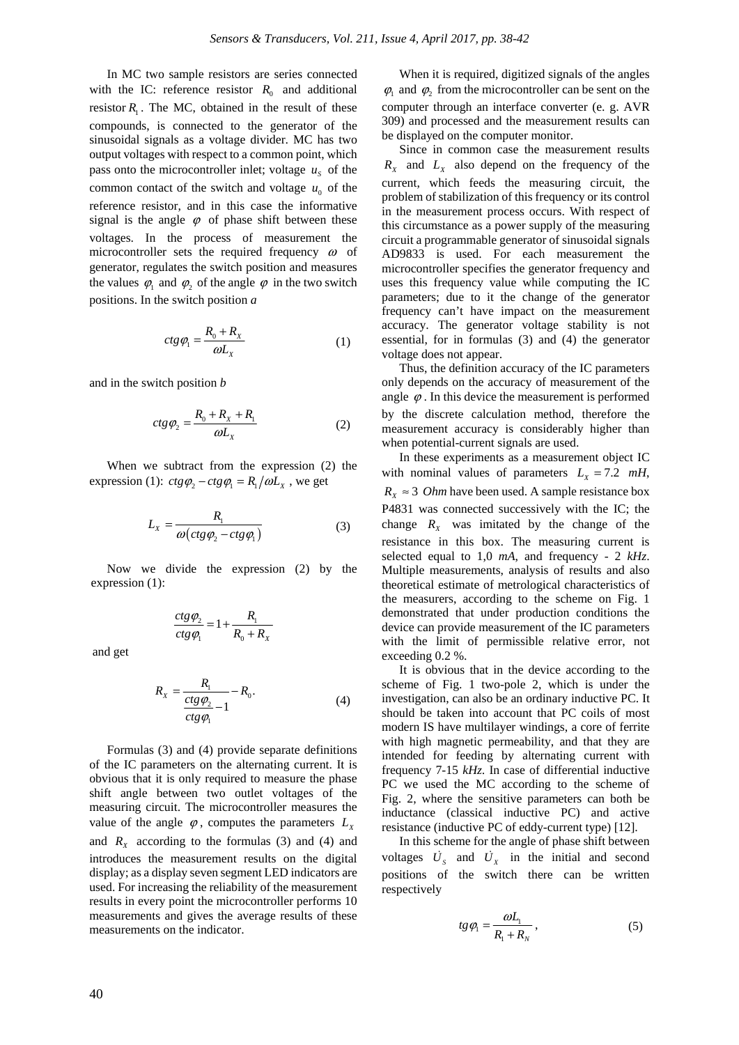In MC two sample resistors are series connected with the IC: reference resistor  $R_0$  and additional resistor  $R_1$ . The MC, obtained in the result of these compounds, is connected to the generator of the sinusoidal signals as a voltage divider. MC has two output voltages with respect to a common point, which pass onto the microcontroller inlet; voltage  $u<sub>s</sub>$  of the common contact of the switch and voltage  $u_0$  of the reference resistor, and in this case the informative signal is the angle  $\varphi$  of phase shift between these voltages. In the process of measurement the microcontroller sets the required frequency  $\omega$  of generator, regulates the switch position and measures the values  $\varphi_1$  and  $\varphi_2$  of the angle  $\varphi$  in the two switch positions. In the switch position *a*

$$
ctg \varphi_1 = \frac{R_0 + R_x}{\omega L_x} \tag{1}
$$

and in the switch position *b* 

$$
ctg\varphi_2 = \frac{R_0 + R_x + R_1}{\omega L_x} \tag{2}
$$

When we subtract from the expression (2) the expression (1):  $ctg\varphi_2 - ctg\varphi_1 = R_1/\omega L_x$ , we get

$$
L_{X} = \frac{R_{1}}{\omega \left( ctg \varphi_{2} - ctg \varphi_{1} \right)} \tag{3}
$$

Now we divide the expression (2) by the expression (1):

$$
\frac{ctg\,\varphi_2}{ctg\,\varphi_1} = 1 + \frac{R_1}{R_0 + R_X}
$$

and get

$$
R_x = \frac{R_1}{\frac{ctg\varphi_2}{ctg\varphi_1} - 1} - R_0.
$$
\n(4)

Formulas (3) and (4) provide separate definitions of the IC parameters on the alternating current. It is obvious that it is only required to measure the phase shift angle between two outlet voltages of the measuring circuit. The microcontroller measures the value of the angle  $\varphi$ , computes the parameters  $L_{\rm x}$ and  $R_x$  according to the formulas (3) and (4) and introduces the measurement results on the digital display; as a display seven segment LED indicators are used. For increasing the reliability of the measurement results in every point the microcontroller performs 10 measurements and gives the average results of these measurements on the indicator.

When it is required, digitized signals of the angles  $\varphi_1$  and  $\varphi_2$  from the microcontroller can be sent on the computer through an interface converter (e. g. AVR 309) and processed and the measurement results can be displayed on the computer monitor.

Since in common case the measurement results  $R_X$  and  $L_X$  also depend on the frequency of the current, which feeds the measuring circuit, the problem of stabilization of this frequency or its control in the measurement process occurs. With respect of this circumstance as a power supply of the measuring circuit a programmable generator of sinusoidal signals AD9833 is used. For each measurement the microcontroller specifies the generator frequency and uses this frequency value while computing the IC parameters; due to it the change of the generator frequency can't have impact on the measurement accuracy. The generator voltage stability is not essential, for in formulas (3) and (4) the generator voltage does not appear.

Thus, the definition accuracy of the IC parameters only depends on the accuracy of measurement of the angle  $\varphi$ . In this device the measurement is performed by the discrete calculation method, therefore the measurement accuracy is considerably higher than when potential-current signals are used.

In these experiments as a measurement object IC with nominal values of parameters  $L_x = 7.2$  *mH*,  $R_x \approx 3$  *Ohm* have been used. A sample resistance box P4831 was connected successively with the IC; the change  $R_X$  was imitated by the change of the resistance in this box. The measuring current is selected equal to 1,0 *mA*, and frequency - 2 *kHz*. Multiple measurements, analysis of results and also theoretical estimate of metrological characteristics of the measurers, according to the scheme on Fig. 1 demonstrated that under production conditions the device can provide measurement of the IC parameters with the limit of permissible relative error, not exceeding 0.2 %.

It is obvious that in the device according to the scheme of Fig. 1 two-pole 2, which is under the investigation, can also be an ordinary inductive PC. It should be taken into account that PC coils of most modern IS have multilayer windings, a core of ferrite with high magnetic permeability, and that they are intended for feeding by alternating current with frequency 7-15 *kHz*. In case of differential inductive PC we used the MC according to the scheme of Fig. 2, where the sensitive parameters can both be inductance (classical inductive PC) and active resistance (inductive PC of eddy-current type) [12].

In this scheme for the angle of phase shift between voltages  $\dot{U}_s$  and  $\dot{U}_x$  in the initial and second positions of the switch there can be written respectively

$$
tg\,\varphi_1 = \frac{\omega L_1}{R_1 + R_N} \,,\tag{5}
$$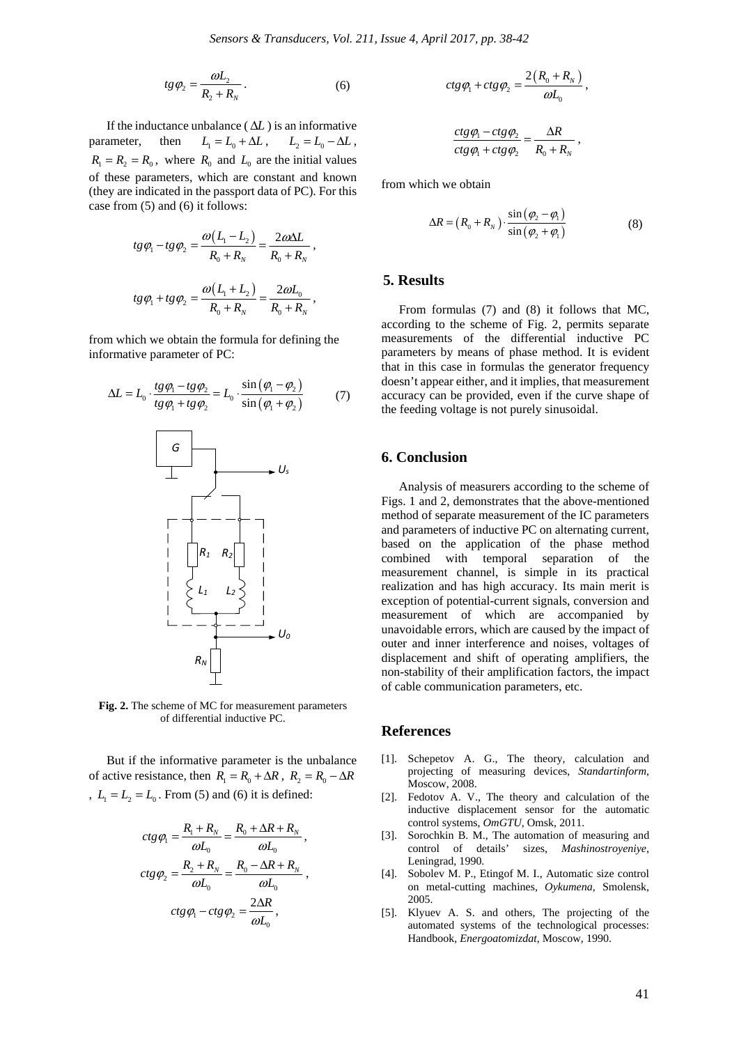$$
tg\,\varphi_2 = \frac{\omega L_2}{R_2 + R_N} \,. \tag{6}
$$

If the inductance unbalance ( $\Delta L$ ) is an informative parameter, then  $L_1 = L_0 + \Delta L$ ,  $L_2 = L_0 - \Delta L$ ,  $R_1 = R_2 = R_0$ , where  $R_0$  and  $L_0$  are the initial values of these parameters, which are constant and known (they are indicated in the passport data of PC). For this case from (5) and (6) it follows:

$$
tg\varphi_1 - tg\varphi_2 = \frac{\omega(L_1 - L_2)}{R_0 + R_N} = \frac{2\omega\Delta L}{R_0 + R_N},
$$
  

$$
tg\varphi_1 + tg\varphi_2 = \frac{\omega(L_1 + L_2)}{R_0 + R_N} = \frac{2\omega L_0}{R_0 + R_N},
$$

from which we obtain the formula for defining the informative parameter of PC:

$$
\Delta L = L_0 \cdot \frac{tg\varphi_1 - tg\varphi_2}{tg\varphi_1 + tg\varphi_2} = L_0 \cdot \frac{\sin(\varphi_1 - \varphi_2)}{\sin(\varphi_1 + \varphi_2)}
$$
(7)

*RN U0 L1 L2 R1 R2*

**Fig. 2.** The scheme of MC for measurement parameters of differential inductive PC.

But if the informative parameter is the unbalance of active resistance, then  $R_1 = R_0 + \Delta R$ ,  $R_2 = R_0 - \Delta R$ ,  $L_1 = L_2 = L_0$ . From (5) and (6) it is defined:

$$
ctg \varphi_1 = \frac{R_1 + R_N}{\omega L_0} = \frac{R_0 + \Delta R + R_N}{\omega L_0},
$$
  

$$
ctg \varphi_2 = \frac{R_2 + R_N}{\omega L_0} = \frac{R_0 - \Delta R + R_N}{\omega L_0},
$$
  

$$
ctg \varphi_1 - ctg \varphi_2 = \frac{2\Delta R}{\omega L_0},
$$

$$
ctg\varphi_1+ctg\varphi_2=\frac{2\big(R_0+R_N\big)}{\omega L_0},
$$

$$
\frac{ctg\,\varphi_1 - ctg\,\varphi_2}{ctg\,\varphi_1 + ctg\,\varphi_2} = \frac{\Delta R}{R_0 + R_N} \;,
$$

from which we obtain

$$
\Delta R = (R_0 + R_N) \cdot \frac{\sin(\varphi_2 - \varphi_1)}{\sin(\varphi_2 + \varphi_1)}
$$
(8)

#### **5. Results**

From formulas (7) and (8) it follows that MC, according to the scheme of Fig. 2, permits separate measurements of the differential inductive PC parameters by means of phase method. It is evident that in this case in formulas the generator frequency doesn't appear either, and it implies, that measurement accuracy can be provided, even if the curve shape of the feeding voltage is not purely sinusoidal.

#### **6. Conclusion**

Analysis of measurers according to the scheme of Figs. 1 and 2, demonstrates that the above-mentioned method of separate measurement of the IC parameters and parameters of inductive PC on alternating current, based on the application of the phase method combined with temporal separation of the measurement channel, is simple in its practical realization and has high accuracy. Its main merit is exception of potential-current signals, conversion and measurement of which are accompanied by unavoidable errors, which are caused by the impact of outer and inner interference and noises, voltages of displacement and shift of operating amplifiers, the non-stability of their amplification factors, the impact of cable communication parameters, etc.

#### **References**

- [1]. Schepetov A. G., The theory, calculation and projecting of measuring devices, *Standartinform*, Moscow, 2008.
- [2]. Fedotov A. V., The theory and calculation of the inductive displacement sensor for the automatic control systems, *OmGTU*, Omsk, 2011.
- [3]. Sorochkin B. M., The automation of measuring and control of details' sizes, *Mashinostroyeniye*, Leningrad, 1990.
- [4]. Sobolev M. P., Etingof M. I., Automatic size control on metal-cutting machines, *Oykumena*, Smolensk, 2005.
- [5]. Klyuev A. S. and others, The projecting of the automated systems of the technological processes: Handbook, *Energoatomizdat*, Moscow, 1990.